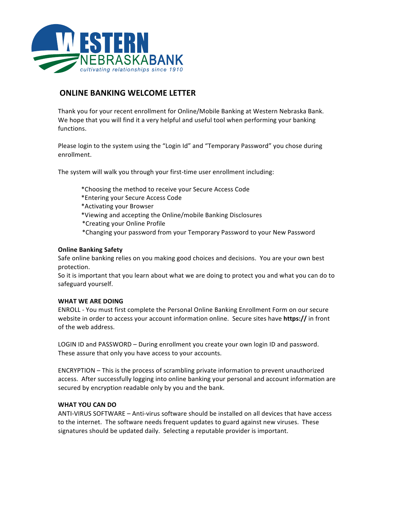

## **ONLINE BANKING WELCOME LETTER**

Thank you for your recent enrollment for Online/Mobile Banking at Western Nebraska Bank. We hope that you will find it a very helpful and useful tool when performing your banking functions.

Please login to the system using the "Login Id" and "Temporary Password" you chose during enrollment.

The system will walk you through your first-time user enrollment including:

- \*Choosing the method to receive your Secure Access Code
- \*Entering your Secure Access Code
- \*Activating your Browser
- \*Viewing and accepting the Online/mobile Banking Disclosures
- \*Creating your Online Profile
- \*Changing your password from your Temporary Password to your New Password

## **Online Banking Safety**

Safe online banking relies on you making good choices and decisions. You are your own best protection.

So it is important that you learn about what we are doing to protect you and what you can do to safeguard yourself.

## **WHAT WE ARE DOING**

ENROLL - You must first complete the Personal Online Banking Enrollment Form on our secure website in order to access your account information online. Secure sites have **https://** in front of the web address.

LOGIN ID and PASSWORD – During enrollment you create your own login ID and password. These assure that only you have access to your accounts.

ENCRYPTION – This is the process of scrambling private information to prevent unauthorized access. After successfully logging into online banking your personal and account information are secured by encryption readable only by you and the bank.

## **WHAT YOU CAN DO**

ANTI-VIRUS SOFTWARE - Anti-virus software should be installed on all devices that have access to the internet. The software needs frequent updates to guard against new viruses. These signatures should be updated daily. Selecting a reputable provider is important.